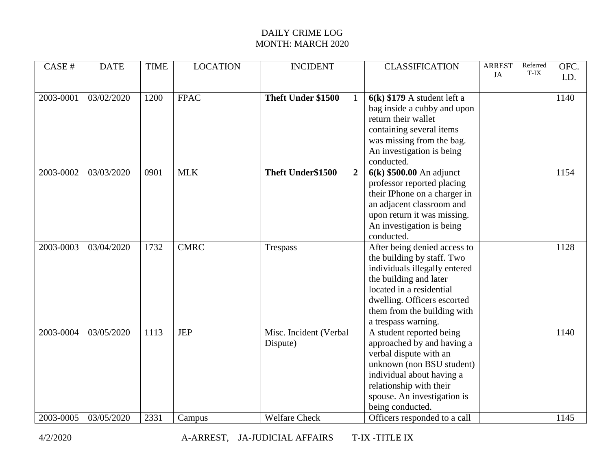| CASE #        | <b>DATE</b> | <b>TIME</b> | <b>LOCATION</b> | <b>INCIDENT</b>                     | <b>CLASSIFICATION</b>         | <b>ARREST</b><br><b>JA</b> | Referred<br>T-IX | OFC.<br>I.D. |
|---------------|-------------|-------------|-----------------|-------------------------------------|-------------------------------|----------------------------|------------------|--------------|
|               |             |             |                 |                                     |                               |                            |                  |              |
| $2003 - 0001$ | 03/02/2020  | 1200        | <b>FPAC</b>     | Theft Under \$1500<br>$\mathbf{1}$  | $6(k)$ \$179 A student left a |                            |                  | 1140         |
|               |             |             |                 |                                     | bag inside a cubby and upon   |                            |                  |              |
|               |             |             |                 |                                     | return their wallet           |                            |                  |              |
|               |             |             |                 |                                     | containing several items      |                            |                  |              |
|               |             |             |                 |                                     | was missing from the bag.     |                            |                  |              |
|               |             |             |                 |                                     | An investigation is being     |                            |                  |              |
|               |             |             |                 |                                     | conducted.                    |                            |                  |              |
| 2003-0002     | 03/03/2020  | 0901        | <b>MLK</b>      | Theft Under\$1500<br>$\overline{2}$ | $6(k)$ \$500.00 An adjunct    |                            |                  | 1154         |
|               |             |             |                 |                                     | professor reported placing    |                            |                  |              |
|               |             |             |                 |                                     | their IPhone on a charger in  |                            |                  |              |
|               |             |             |                 |                                     | an adjacent classroom and     |                            |                  |              |
|               |             |             |                 |                                     | upon return it was missing.   |                            |                  |              |
|               |             |             |                 |                                     | An investigation is being     |                            |                  |              |
|               |             |             |                 |                                     | conducted.                    |                            |                  |              |
| 2003-0003     | 03/04/2020  | 1732        | <b>CMRC</b>     | <b>Trespass</b>                     | After being denied access to  |                            |                  | 1128         |
|               |             |             |                 |                                     | the building by staff. Two    |                            |                  |              |
|               |             |             |                 |                                     | individuals illegally entered |                            |                  |              |
|               |             |             |                 |                                     | the building and later        |                            |                  |              |
|               |             |             |                 |                                     | located in a residential      |                            |                  |              |
|               |             |             |                 |                                     | dwelling. Officers escorted   |                            |                  |              |
|               |             |             |                 |                                     | them from the building with   |                            |                  |              |
|               |             |             |                 |                                     | a trespass warning.           |                            |                  |              |
| 2003-0004     | 03/05/2020  | 1113        | <b>JEP</b>      | Misc. Incident (Verbal              | A student reported being      |                            |                  | 1140         |
|               |             |             |                 | Dispute)                            | approached by and having a    |                            |                  |              |
|               |             |             |                 |                                     | verbal dispute with an        |                            |                  |              |
|               |             |             |                 |                                     | unknown (non BSU student)     |                            |                  |              |
|               |             |             |                 |                                     | individual about having a     |                            |                  |              |
|               |             |             |                 |                                     | relationship with their       |                            |                  |              |
|               |             |             |                 |                                     | spouse. An investigation is   |                            |                  |              |
|               |             |             |                 |                                     | being conducted.              |                            |                  |              |
| 2003-0005     | 03/05/2020  | 2331        | Campus          | <b>Welfare Check</b>                | Officers responded to a call  |                            |                  | 1145         |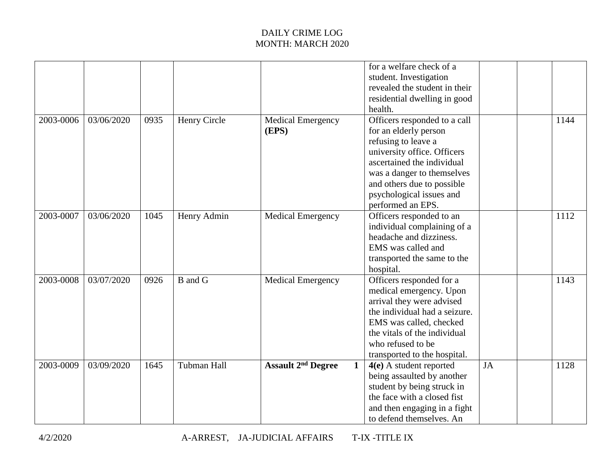|           |            |      |              |                                                      | for a welfare check of a<br>student. Investigation<br>revealed the student in their<br>residential dwelling in good<br>health.                                                                                                                         |           |      |
|-----------|------------|------|--------------|------------------------------------------------------|--------------------------------------------------------------------------------------------------------------------------------------------------------------------------------------------------------------------------------------------------------|-----------|------|
| 2003-0006 | 03/06/2020 | 0935 | Henry Circle | <b>Medical Emergency</b><br>(EPS)                    | Officers responded to a call<br>for an elderly person<br>refusing to leave a<br>university office. Officers<br>ascertained the individual<br>was a danger to themselves<br>and others due to possible<br>psychological issues and<br>performed an EPS. |           | 1144 |
| 2003-0007 | 03/06/2020 | 1045 | Henry Admin  | <b>Medical Emergency</b>                             | Officers responded to an<br>individual complaining of a<br>headache and dizziness.<br>EMS was called and<br>transported the same to the<br>hospital.                                                                                                   |           | 1112 |
| 2003-0008 | 03/07/2020 | 0926 | B and G      | <b>Medical Emergency</b>                             | Officers responded for a<br>medical emergency. Upon<br>arrival they were advised<br>the individual had a seizure.<br>EMS was called, checked<br>the vitals of the individual<br>who refused to be<br>transported to the hospital.                      |           | 1143 |
| 2003-0009 | 03/09/2020 | 1645 | Tubman Hall  | $\mathbf{1}$<br><b>Assault 2<sup>nd</sup> Degree</b> | $4(e)$ A student reported<br>being assaulted by another<br>student by being struck in<br>the face with a closed fist<br>and then engaging in a fight<br>to defend themselves. An                                                                       | <b>JA</b> | 1128 |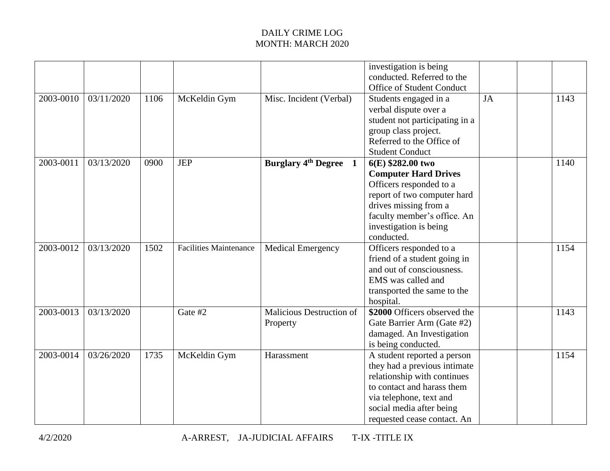|           |            |      |                               |                                             | investigation is being<br>conducted. Referred to the<br>Office of Student Conduct                                                                                                                              |           |      |
|-----------|------------|------|-------------------------------|---------------------------------------------|----------------------------------------------------------------------------------------------------------------------------------------------------------------------------------------------------------------|-----------|------|
| 2003-0010 | 03/11/2020 | 1106 | McKeldin Gym                  | Misc. Incident (Verbal)                     | Students engaged in a<br>verbal dispute over a<br>student not participating in a<br>group class project.<br>Referred to the Office of<br><b>Student Conduct</b>                                                | <b>JA</b> | 1143 |
| 2003-0011 | 03/13/2020 | 0900 | <b>JEP</b>                    | <b>Burglary 4th Degree</b><br>1             | $6(E)$ \$282.00 two<br><b>Computer Hard Drives</b><br>Officers responded to a<br>report of two computer hard<br>drives missing from a<br>faculty member's office. An<br>investigation is being<br>conducted.   |           | 1140 |
| 2003-0012 | 03/13/2020 | 1502 | <b>Facilities Maintenance</b> | <b>Medical Emergency</b>                    | Officers responded to a<br>friend of a student going in<br>and out of consciousness.<br>EMS was called and<br>transported the same to the<br>hospital.                                                         |           | 1154 |
| 2003-0013 | 03/13/2020 |      | Gate #2                       | <b>Malicious Destruction of</b><br>Property | \$2000 Officers observed the<br>Gate Barrier Arm (Gate #2)<br>damaged. An Investigation<br>is being conducted.                                                                                                 |           | 1143 |
| 2003-0014 | 03/26/2020 | 1735 | McKeldin Gym                  | Harassment                                  | A student reported a person<br>they had a previous intimate<br>relationship with continues<br>to contact and harass them<br>via telephone, text and<br>social media after being<br>requested cease contact. An |           | 1154 |